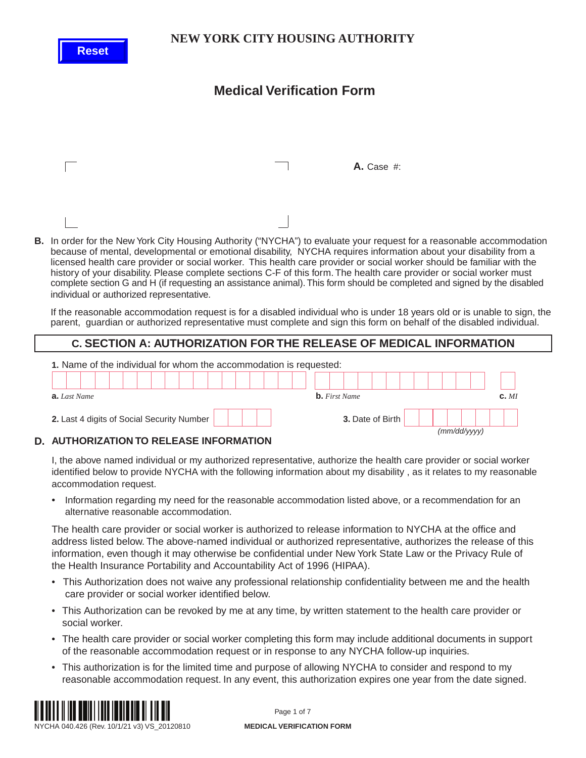**Reset**

### **NEW YORK CITY HOUSING AUTHORITY**

# **Medical Verification Form**

|                                                                                                                                                                                                          | A. Case #: |  |
|----------------------------------------------------------------------------------------------------------------------------------------------------------------------------------------------------------|------------|--|
|                                                                                                                                                                                                          |            |  |
| <b>B.</b> In order for the New York City Housing Authority ("NYCHA") to evaluate your request for a rease<br>hecause of mental developmental or emotional disability. NVCHA requires information about y |            |  |

**B.** In order the Accommodation because of mental, developmental or emotional disability, NYCHA requires information about your disability from a licensed health care provider or social worker. This health care provider or social worker should be familiar with the history of your disability. Please complete sections C-F of this form. The health care provider or social worker must complete section G and H (if requesting an assistance animal). This form should be completed and signed by the disabled individual or authorized representative.

If the reasonable accommodation request is for a disabled individual who is under 18 years old or is unable to sign, the parent, guardian or authorized representative must complete and sign this form on behalf of the disabled individual.

### **C. SECTION A: AUTHORIZATION FOR THE RELEASE OF MEDICAL INFORMATION**



#### **AUTHORIZATION TO RELEASE INFORMATION D.**

I, the above named individual or my authorized representative, authorize the health care provider or social worker identified below to provide NYCHA with the following information about my disability , as it relates to my reasonable accommodation request.

• Information regarding my need for the reasonable accommodation listed above, or a recommendation for an alternative reasonable accommodation.

The health care provider or social worker is authorized to release information to NYCHA at the office and address listed below. The above-named individual or authorized representative, authorizes the release of this information, even though it may otherwise be confidential under New York State Law or the Privacy Rule of the Health Insurance Portability and Accountability Act of 1996 (HIPAA).

- This Authorization does not waive any professional relationship confidentiality between me and the health care provider or social worker identified below.
- This Authorization can be revoked by me at any time, by written statement to the health care provider or social worker.
- The health care provider or social worker completing this form may include additional documents in support of the reasonable accommodation request or in response to any NYCHA follow-up inquiries.
- This authorization is for the limited time and purpose of allowing NYCHA to consider and respond to my reasonable accommodation request. In any event, this authorization expires one year from the date signed.



Page 1 of 7

NYCHA 040.426 (Rev. 10/1/21 v3) VS\_20120810 **MEDICAL VERIFICATION FORM**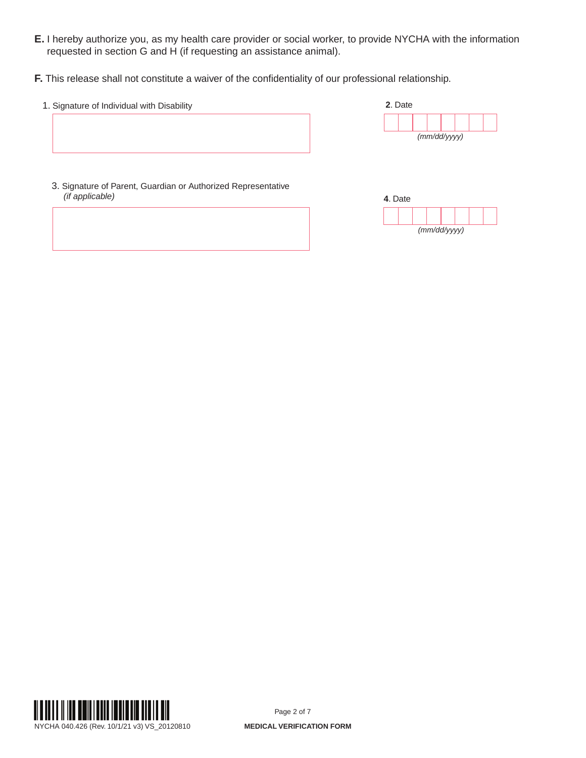- **E.** I hereby authorize you, as my health care provider or social worker, to provide NYCHA with the information requested in section G and H (if requesting an assistance animal).
- **F.** This release shall not constitute a waiver of the confidentiality of our professional relationship.
	- 1. Signature of Individual with Disability



3. Signature of Parent, Guardian or Authorized Representative *(if applicable)*





Page 2 of 7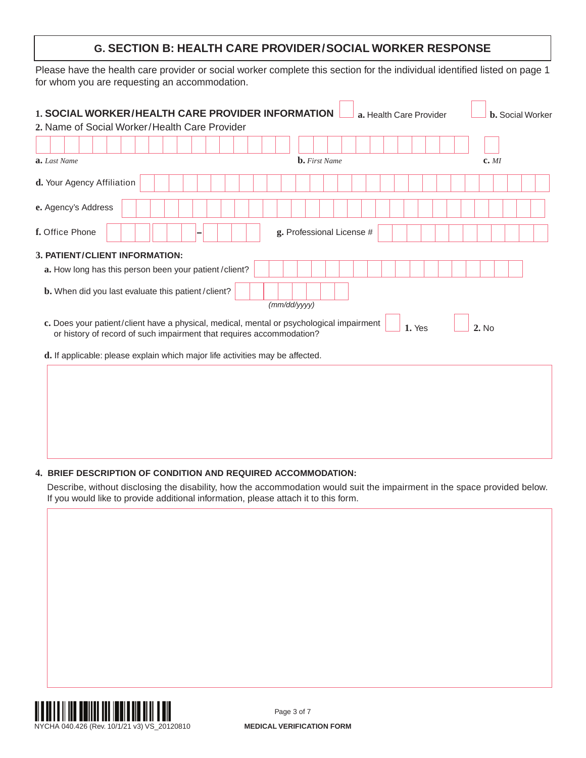## **G. SECTION B: HEALTH CARE PROVIDER/SOCIAL WORKER RESPONSE**

Please have the health care provider or social worker complete this section for the individual identified listed on page 1 for whom you are requesting an accommodation.

| a. Last Name                                                                                                                                                     | <b>b.</b> First Name      | c. <i>MI</i>    |
|------------------------------------------------------------------------------------------------------------------------------------------------------------------|---------------------------|-----------------|
| d. Your Agency Affiliation                                                                                                                                       |                           |                 |
| e. Agency's Address                                                                                                                                              |                           |                 |
| f. Office Phone                                                                                                                                                  | g. Professional License # |                 |
| 3. PATIENT/CLIENT INFORMATION:                                                                                                                                   |                           |                 |
| a. How long has this person been your patient/client?                                                                                                            |                           |                 |
| b. When did you last evaluate this patient/client?                                                                                                               | (mm/dd/yyyy)              |                 |
| c. Does your patient/client have a physical, medical, mental or psychological impairment<br>or history of record of such impairment that requires accommodation? |                           | 1. Yes<br>2. No |
| d. If applicable: please explain which major life activities may be affected.                                                                                    |                           |                 |
|                                                                                                                                                                  |                           |                 |
|                                                                                                                                                                  |                           |                 |
|                                                                                                                                                                  |                           |                 |

#### **4. BRIEF DESCRIPTION OF CONDITION AND REQUIRED ACCOMMODATION:**

Describe, without disclosing the disability, how the accommodation would suit the impairment in the space provided below. If you would like to provide additional information, please attach it to this form.



Page 3 of 7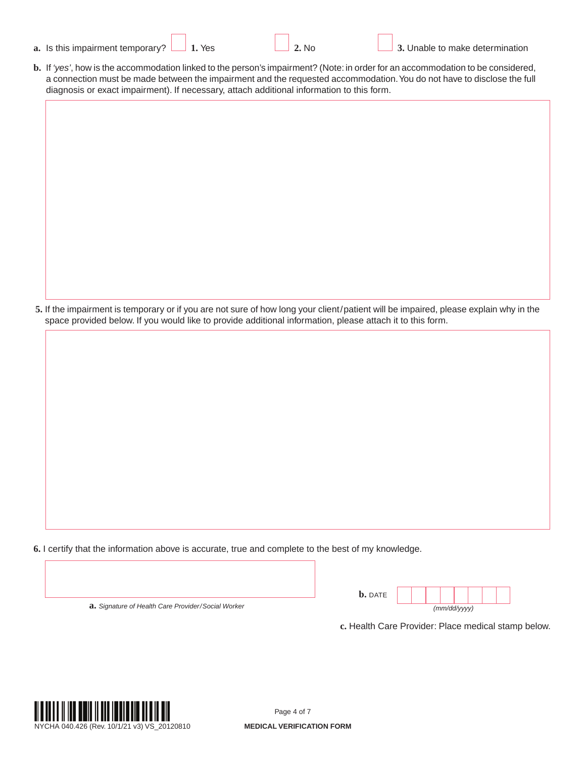| Is this impairment temporary?<br>a. |
|-------------------------------------|
|                                     |

**b.** If *'yes'*, how is the accommodation linked to the person's impairment? (Note: in order for an accommodation to be considered, a connection must be made between the impairment and the requested accommodation. You do not have to disclose the full diagnosis or exact impairment). If necessary, attach additional information to this form.

**5.** If the impairment is temporary or if you are not sure of how long your client/patient will be impaired, please explain why in the space provided below. If you would like to provide additional information, please attach it to this form.

**6.** I certify that the information above is accurate, true and complete to the best of my knowledge.

**a.** *Signature of Health Care Provider/Social Worker*

| <b>b.</b> DATE |              |  |  |  |  |  |  |  |
|----------------|--------------|--|--|--|--|--|--|--|
|                | (mm/dd/yyyy) |  |  |  |  |  |  |  |

**c.** Health Care Provider: Place medical stamp below.

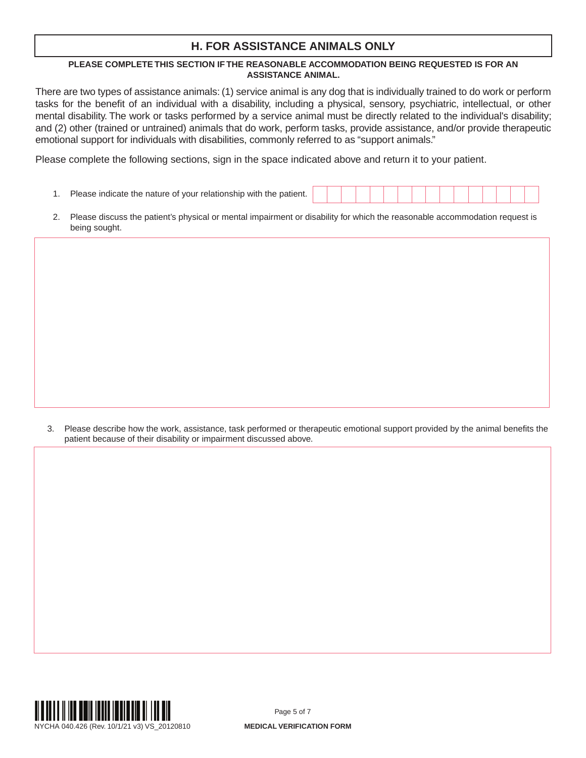## **H. FOR ASSISTANCE ANIMALS ONLY**

#### **PLEASE COMPLETE THIS SECTION IF THE REASONABLE ACCOMMODATION BEING REQUESTED IS FOR AN ASSISTANCE ANIMAL.**

There are two types of assistance animals: (1) service animal is any dog that is individually trained to do work or perform tasks for the benefit of an individual with a disability, including a physical, sensory, psychiatric, intellectual, or other mental disability. The work or tasks performed by a service animal must be directly related to the individual's disability; and (2) other (trained or untrained) animals that do work, perform tasks, provide assistance, and/or provide therapeutic emotional support for individuals with disabilities, commonly referred to as "support animals."

Please complete the following sections, sign in the space indicated above and return it to your patient.

- 1. Please indicate the nature of your relationship with the patient.
- 2. Please discuss the patient's physical or mental impairment or disability for which the reasonable accommodation request is being sought.

3. Please describe how the work, assistance, task performed or therapeutic emotional support provided by the animal benefits the patient because of their disability or impairment discussed above.



Page 5 of 7

NYCHA 040.426 (Rev. 10/1/21 v3) VS\_20120810 **MEDICAL VERIFICATION FORM**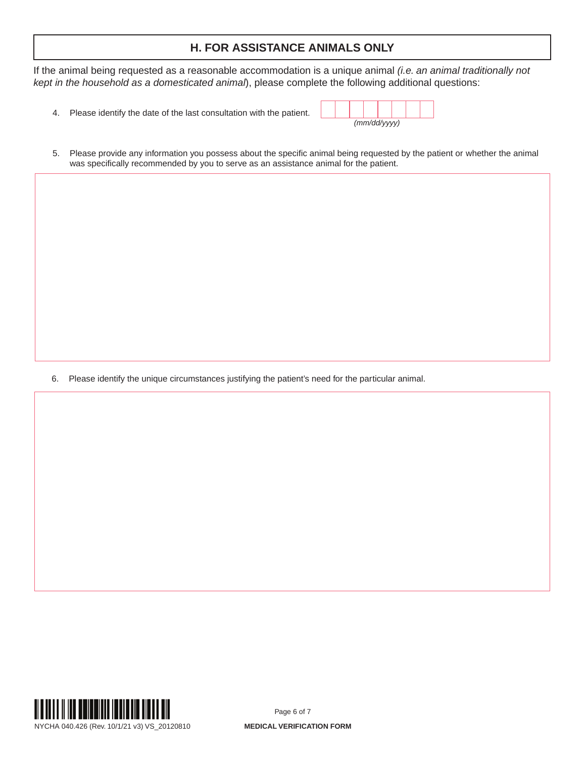## **H. FOR ASSISTANCE ANIMALS ONLY**

If the animal being requested as a reasonable accommodation is a unique animal *(i.e. an animal traditionally not kept in the household as a domesticated animal*), please complete the following additional questions:

4. Please identify the date of the last consultation with the patient.

| (mm/dd/yyyy) |  |  |  |  |  |  |
|--------------|--|--|--|--|--|--|

5. Please provide any information you possess about the specific animal being requested by the patient or whether the animal was specifically recommended by you to serve as an assistance animal for the patient.

6. Please identify the unique circumstances justifying the patient's need for the particular animal.



NYCHA 040.426 (Rev. 10/1/21 v3) VS\_20120810 **MEDICAL VERIFICATION FORM**